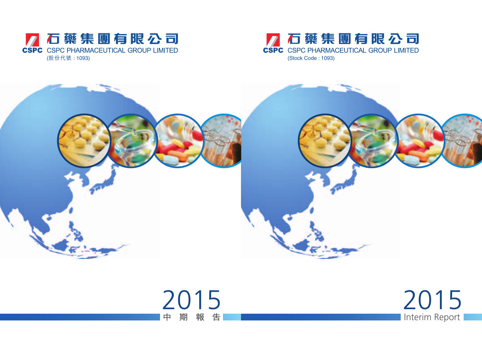



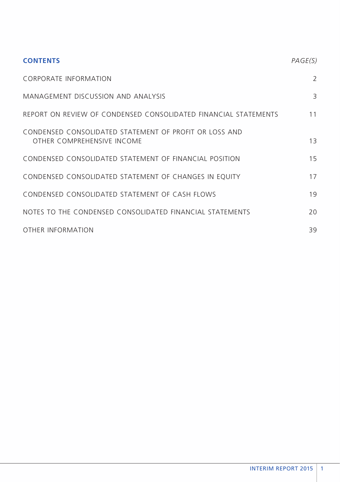| <b>CONTENTS</b>                                                                      | PAGE(S) |
|--------------------------------------------------------------------------------------|---------|
| <b>CORPORATE INFORMATION</b>                                                         | 2       |
| MANAGEMENT DISCUSSION AND ANALYSIS                                                   | 3       |
| REPORT ON REVIEW OF CONDENSED CONSOLIDATED FINANCIAL STATEMENTS                      | 11      |
| CONDENSED CONSOLIDATED STATEMENT OF PROFIT OR LOSS AND<br>OTHER COMPREHENSIVE INCOME | 13      |
| CONDENSED CONSOLIDATED STATEMENT OF FINANCIAL POSITION                               | 15      |
| CONDENSED CONSOLIDATED STATEMENT OF CHANGES IN EQUITY                                | 17      |
| CONDENSED CONSOLIDATED STATEMENT OF CASH FLOWS                                       | 19      |
| NOTES TO THE CONDENSED CONSOLIDATED FINANCIAL STATEMENTS                             | 20      |
| OTHER INFORMATION                                                                    | 39      |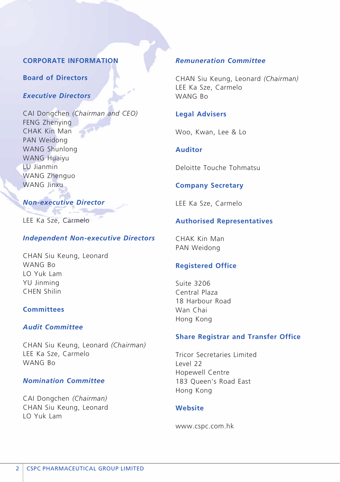### **Corporate Information**

### **Board of Directors**

#### *Executive Directors*

CAI Dongchen *(Chairman and CEO)* FENG Zhenying CHAK Kin Man PAN Weidong WANG Shunlong WANG Huaiyu LU Jianmin WANG Zhenguo WANG Jinxu

### *Non-executive Director*

LEE Ka Sze, Carmelo

#### *Independent Non-executive Directors*

CHAN Siu Keung, Leonard WANG Bo LO Yuk Lam YU Jinming CHEN Shilin

### **Committees**

### *Audit Committee*

CHAN Siu Keung, Leonard *(Chairman)* LEE Ka Sze, Carmelo WANG Bo

## *Nomination Committee*

CAI Dongchen *(Chairman)* CHAN Siu Keung, Leonard LO Yuk Lam

### *Remuneration Committee*

CHAN Siu Keung, Leonard *(Chairman)* LEE Ka Sze, Carmelo WANG Bo

#### **Legal Advisers**

Woo, Kwan, Lee & Lo

#### **Auditor**

Deloitte Touche Tohmatsu

### **Company Secretary**

LEE Ka Sze, Carmelo

#### **Authorised Representatives**

CHAK Kin Man PAN Weidong

### **Registered Office**

Suite 3206 Central Plaza 18 Harbour Road Wan Chai Hong Kong

### **Share Registrar and Transfer Office**

Tricor Secretaries Limited Level 22 Hopewell Centre 183 Queen's Road East Hong Kong

#### **Website**

www.cspc.com.hk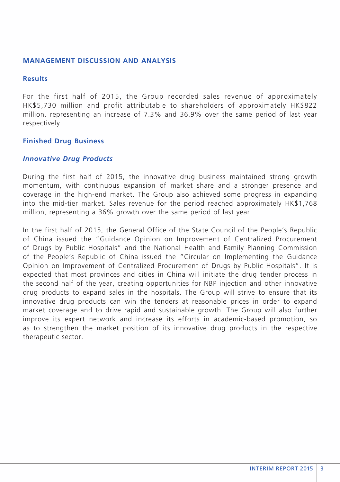### **MANAGEMENT DISCUSSION AND ANALYSIS**

### **Results**

For the first half of 2015, the Group recorded sales revenue of approximately HK\$5,730 million and profit attributable to shareholders of approximately HK\$822 million, representing an increase of 7.3% and 36.9% over the same period of last year respectively.

### **Finished Drug Business**

### *Innovative Drug Products*

During the first half of 2015, the innovative drug business maintained strong growth momentum, with continuous expansion of market share and a stronger presence and coverage in the high-end market. The Group also achieved some progress in expanding into the mid-tier market. Sales revenue for the period reached approximately HK\$1,768 million, representing a 36% growth over the same period of last year.

In the first half of 2015, the General Office of the State Council of the People's Republic of China issued the "Guidance Opinion on Improvement of Centralized Procurement of Drugs by Public Hospitals" and the National Health and Family Planning Commission of the People's Republic of China issued the "Circular on Implementing the Guidance Opinion on Improvement of Centralized Procurement of Drugs by Public Hospitals". It is expected that most provinces and cities in China will initiate the drug tender process in the second half of the year, creating opportunities for NBP injection and other innovative drug products to expand sales in the hospitals. The Group will strive to ensure that its innovative drug products can win the tenders at reasonable prices in order to expand market coverage and to drive rapid and sustainable growth. The Group will also further improve its expert network and increase its efforts in academic-based promotion, so as to strengthen the market position of its innovative drug products in the respective therapeutic sector.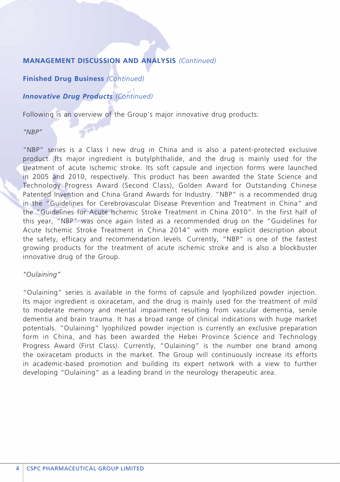**Finished Drug Business** *(Continued)*

# *Innovative Drug Products (Continued)*

Following is an overview of the Group's major innovative drug products:

#### *"NBP"*

"NBP" series is a Class I new drug in China and is also a patent-protected exclusive product. Its major ingredient is butylphthalide, and the drug is mainly used for the treatment of acute ischemic stroke. Its soft capsule and injection forms were launched in 2005 and 2010, respectively. This product has been awarded the State Science and Technology Progress Award (Second Class), Golden Award for Outstanding Chinese Patented Invention and China Grand Awards for Industry. "NBP" is a recommended drug in the "Guidelines for Cerebrovascular Disease Prevention and Treatment in China" and the "Guidelines for Acute Ischemic Stroke Treatment in China 2010". In the first half of this year, "NBP" was once again listed as a recommended drug on the "Guidelines for Acute Ischemic Stroke Treatment in China 2014" with more explicit description about the safety, efficacy and recommendation levels. Currently, "NBP" is one of the fastest growing products for the treatment of acute ischemic stroke and is also a blockbuster innovative drug of the Group.

### *"Oulaining"*

"Oulaining" series is available in the forms of capsule and lyophilized powder injection. Its major ingredient is oxiracetam, and the drug is mainly used for the treatment of mild to moderate memory and mental impairment resulting from vascular dementia, senile dementia and brain trauma. It has a broad range of clinical indications with huge market potentials. "Oulaining" lyophilized powder injection is currently an exclusive preparation form in China, and has been awarded the Hebei Province Science and Technology Progress Award (First Class). Currently, "Oulaining" is the number one brand among the oxiracetam products in the market. The Group will continuously increase its efforts in academic-based promotion and building its expert network with a view to further developing "Oulaining" as a leading brand in the neurology therapeutic area.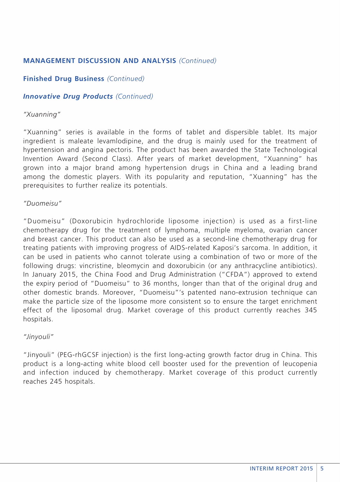## **Finished Drug Business** *(Continued)*

### *Innovative Drug Products (Continued)*

### *"Xuanning"*

"Xuanning" series is available in the forms of tablet and dispersible tablet. Its major ingredient is maleate levamlodipine, and the drug is mainly used for the treatment of hypertension and angina pectoris. The product has been awarded the State Technological Invention Award (Second Class). After years of market development, "Xuanning" has grown into a major brand among hypertension drugs in China and a leading brand among the domestic players. With its popularity and reputation, "Xuanning" has the prerequisites to further realize its potentials.

#### *"Duomeisu"*

"Duomeisu" (Doxorubicin hydrochloride liposome injection) is used as a first-line chemotherapy drug for the treatment of lymphoma, multiple myeloma, ovarian cancer and breast cancer. This product can also be used as a second-line chemotherapy drug for treating patients with improving progress of AIDS-related Kaposi's sarcoma. In addition, it can be used in patients who cannot tolerate using a combination of two or more of the following drugs: vincristine, bleomycin and doxorubicin (or any anthracycline antibiotics). In January 2015, the China Food and Drug Administration ("CFDA") approved to extend the expiry period of "Duomeisu" to 36 months, longer than that of the original drug and other domestic brands. Moreover, "Duomeisu"'s patented nano-extrusion technique can make the particle size of the liposome more consistent so to ensure the target enrichment effect of the liposomal drug. Market coverage of this product currently reaches 345 hospitals.

### *"Jinyouli"*

"Jinyouli" (PEG-rhGCSF injection) is the first long-acting growth factor drug in China. This product is a long-acting white blood cell booster used for the prevention of leucopenia and infection induced by chemotherapy. Market coverage of this product currently reaches 245 hospitals.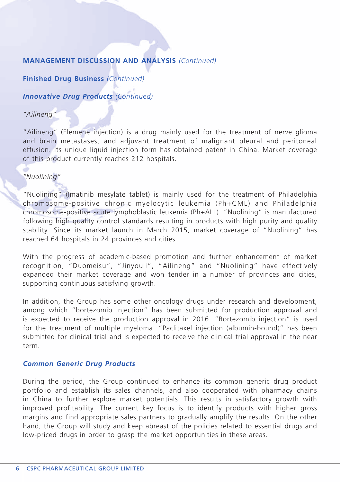**Finished Drug Business** *(Continued)*

# *Innovative Drug Products (Continued)*

### *"Ailineng"*

"Ailineng" (Elemene injection) is a drug mainly used for the treatment of nerve glioma and brain metastases, and adjuvant treatment of malignant pleural and peritoneal effusion. Its unique liquid injection form has obtained patent in China. Market coverage of this product currently reaches 212 hospitals.

# *"Nuolining"*

"Nuolining" (Imatinib mesylate tablet) is mainly used for the treatment of Philadelphia chromosome-positive chronic myelocytic leukemia (Ph+CML) and Philadelphia chromosome-positive acute lymphoblastic leukemia (Ph+ALL). "Nuolining" is manufactured following high quality control standards resulting in products with high purity and quality stability. Since its market launch in March 2015, market coverage of "Nuolining" has reached 64 hospitals in 24 provinces and cities.

With the progress of academic-based promotion and further enhancement of market recognition, "Duomeisu", "Jinyouli", "Ailineng" and "Nuolining" have effectively expanded their market coverage and won tender in a number of provinces and cities, supporting continuous satisfying growth.

In addition, the Group has some other oncology drugs under research and development, among which "bortezomib injection" has been submitted for production approval and is expected to receive the production approval in 2016. "Bortezomib injection" is used for the treatment of multiple myeloma. "Paclitaxel injection (albumin-bound)" has been submitted for clinical trial and is expected to receive the clinical trial approval in the near term.

#### *Common Generic Drug Products*

During the period, the Group continued to enhance its common generic drug product portfolio and establish its sales channels, and also cooperated with pharmacy chains in China to further explore market potentials. This results in satisfactory growth with improved profitability. The current key focus is to identify products with higher gross margins and find appropriate sales partners to gradually amplify the results. On the other hand, the Group will study and keep abreast of the policies related to essential drugs and low-priced drugs in order to grasp the market opportunities in these areas.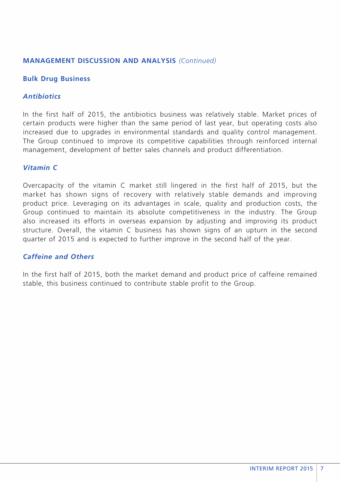### **Bulk Drug Business**

### *Antibiotics*

In the first half of 2015, the antibiotics business was relatively stable. Market prices of certain products were higher than the same period of last year, but operating costs also increased due to upgrades in environmental standards and quality control management. The Group continued to improve its competitive capabilities through reinforced internal management, development of better sales channels and product differentiation.

### *Vitamin C*

Overcapacity of the vitamin C market still lingered in the first half of 2015, but the market has shown signs of recovery with relatively stable demands and improving product price. Leveraging on its advantages in scale, quality and production costs, the Group continued to maintain its absolute competitiveness in the industry. The Group also increased its efforts in overseas expansion by adjusting and improving its product structure. Overall, the vitamin C business has shown signs of an upturn in the second quarter of 2015 and is expected to further improve in the second half of the year.

### *Caffeine and Others*

In the first half of 2015, both the market demand and product price of caffeine remained stable, this business continued to contribute stable profit to the Group.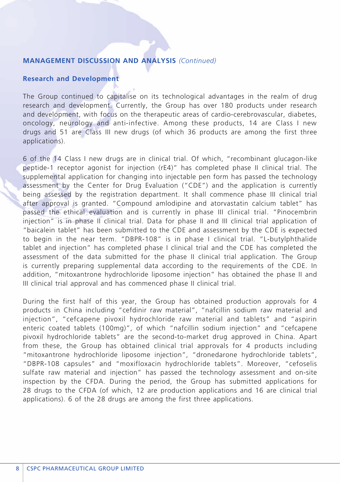### **Research and Development**

The Group continued to capitalise on its technological advantages in the realm of drug research and development. Currently, the Group has over 180 products under research and development, with focus on the therapeutic areas of cardio-cerebrovascular, diabetes, oncology, neurology and anti-infective. Among these products, 14 are Class I new drugs and 51 are Class III new drugs (of which 36 products are among the first three applications).

6 of the 14 Class I new drugs are in clinical trial. Of which, "recombinant glucagon-like peptide-1 receptor agonist for injection (rE4)" has completed phase II clinical trial. The supplemental application for changing into injectable pen form has passed the technology assessment by the Center for Drug Evaluation ("CDE") and the application is currently being assessed by the registration department. It shall commence phase III clinical trial after approval is granted. "Compound amlodipine and atorvastatin calcium tablet" has passed the ethical evaluation and is currently in phase III clinical trial. "Pinocembrin injection" is in phase II clinical trial. Data for phase II and III clinical trial application of "baicalein tablet" has been submitted to the CDE and assessment by the CDE is expected to begin in the near term. "DBPR-108" is in phase I clinical trial. "L-butylphthalide tablet and injection" has completed phase I clinical trial and the CDE has completed the assessment of the data submitted for the phase II clinical trial application. The Group is currently preparing supplemental data according to the requirements of the CDE. In addition, "mitoxantrone hydrochloride liposome injection" has obtained the phase II and III clinical trial approval and has commenced phase II clinical trial.

During the first half of this year, the Group has obtained production approvals for 4 products in China including "cefdinir raw material", "nafcillin sodium raw material and injection", "cefcapene pivoxil hydrochloride raw material and tablets" and "aspirin enteric coated tablets (100mg)", of which "nafcillin sodium injection" and "cefcapene pivoxil hydrochloride tablets" are the second-to-market drug approved in China. Apart from these, the Group has obtained clinical trial approvals for 4 products including "mitoxantrone hydrochloride liposome injection", "dronedarone hydrochloride tablets", "DBPR-108 capsules" and "moxifloxacin hydrochloride tablets". Moreover, "cefoselis sulfate raw material and injection" has passed the technology assessment and on-site inspection by the CFDA. During the period, the Group has submitted applications for 28 drugs to the CFDA (of which, 12 are production applications and 16 are clinical trial applications). 6 of the 28 drugs are among the first three applications.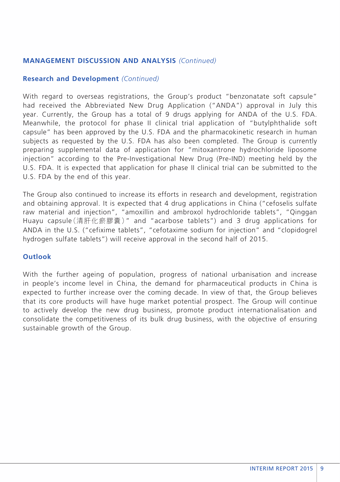### **Research and Development** *(Continued)*

With regard to overseas registrations, the Group's product "benzonatate soft capsule" had received the Abbreviated New Drug Application ("ANDA") approval in July this year. Currently, the Group has a total of 9 drugs applying for ANDA of the U.S. FDA. Meanwhile, the protocol for phase II clinical trial application of "butylphthalide soft capsule" has been approved by the U.S. FDA and the pharmacokinetic research in human subjects as requested by the U.S. FDA has also been completed. The Group is currently preparing supplemental data of application for "mitoxantrone hydrochloride liposome injection" according to the Pre-Investigational New Drug (Pre-IND) meeting held by the U.S. FDA. It is expected that application for phase II clinical trial can be submitted to the U.S. FDA by the end of this year.

The Group also continued to increase its efforts in research and development, registration and obtaining approval. It is expected that 4 drug applications in China ("cefoselis sulfate raw material and injection", "amoxillin and ambroxol hydrochloride tablets", "Qinggan Huayu capsule(清肝化瘀膠囊)" and "acarbose tablets") and 3 drug applications for ANDA in the U.S. ("cefixime tablets", "cefotaxime sodium for injection" and "clopidogrel hydrogen sulfate tablets") will receive approval in the second half of 2015.

### **Outlook**

With the further ageing of population, progress of national urbanisation and increase in people's income level in China, the demand for pharmaceutical products in China is expected to further increase over the coming decade. In view of that, the Group believes that its core products will have huge market potential prospect. The Group will continue to actively develop the new drug business, promote product internationalisation and consolidate the competitiveness of its bulk drug business, with the objective of ensuring sustainable growth of the Group.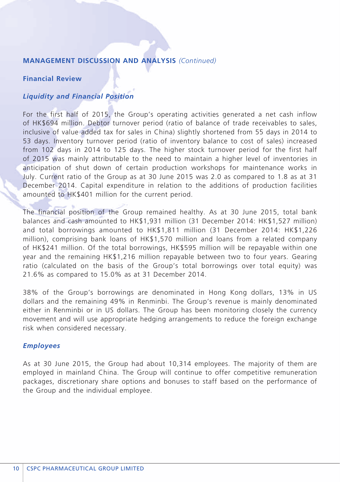### **Financial Review**

### *Liquidity and Financial Position*

For the first half of 2015, the Group's operating activities generated a net cash inflow of HK\$694 million. Debtor turnover period (ratio of balance of trade receivables to sales, inclusive of value added tax for sales in China) slightly shortened from 55 days in 2014 to 53 days. Inventory turnover period (ratio of inventory balance to cost of sales) increased from 102 days in 2014 to 125 days. The higher stock turnover period for the first half of 2015 was mainly attributable to the need to maintain a higher level of inventories in anticipation of shut down of certain production workshops for maintenance works in July. Current ratio of the Group as at 30 June 2015 was 2.0 as compared to 1.8 as at 31 December 2014. Capital expenditure in relation to the additions of production facilities amounted to HK\$401 million for the current period.

The financial position of the Group remained healthy. As at 30 June 2015, total bank balances and cash amounted to HK\$1,931 million (31 December 2014: HK\$1,527 million) and total borrowings amounted to HK\$1,811 million (31 December 2014: HK\$1,226 million), comprising bank loans of HK\$1,570 million and loans from a related company of HK\$241 million. Of the total borrowings, HK\$595 million will be repayable within one year and the remaining HK\$1,216 million repayable between two to four years. Gearing ratio (calculated on the basis of the Group's total borrowings over total equity) was 21.6% as compared to 15.0% as at 31 December 2014.

38% of the Group's borrowings are denominated in Hong Kong dollars, 13% in US dollars and the remaining 49% in Renminbi. The Group's revenue is mainly denominated either in Renminbi or in US dollars. The Group has been monitoring closely the currency movement and will use appropriate hedging arrangements to reduce the foreign exchange risk when considered necessary.

#### *Employees*

As at 30 June 2015, the Group had about 10,314 employees. The majority of them are employed in mainland China. The Group will continue to offer competitive remuneration packages, discretionary share options and bonuses to staff based on the performance of the Group and the individual employee.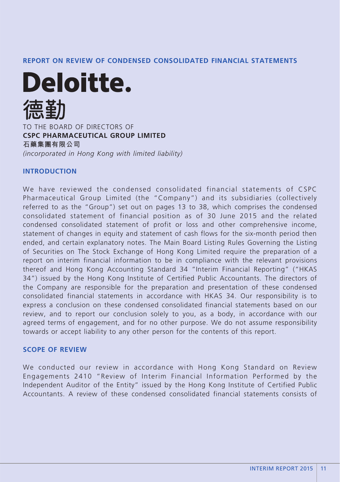### **REPORT ON REVIEW OF CONDENSED CONSOLIDATED FINANCIAL STATEMENTS**

**Deloitte.** TO THE BOARD OF DIRECTORS OF **CSPC PHARMACEUTICAL GROUP LIMITED 石藥集團有限公司** *(incorporated in Hong Kong with limited liability)*

#### **Introduction**

We have reviewed the condensed consolidated financial statements of CSPC Pharmaceutical Group Limited (the "Company") and its subsidiaries (collectively referred to as the "Group") set out on pages 13 to 38, which comprises the condensed consolidated statement of financial position as of 30 June 2015 and the related condensed consolidated statement of profit or loss and other comprehensive income, statement of changes in equity and statement of cash flows for the six-month period then ended, and certain explanatory notes. The Main Board Listing Rules Governing the Listing of Securities on The Stock Exchange of Hong Kong Limited require the preparation of a report on interim financial information to be in compliance with the relevant provisions thereof and Hong Kong Accounting Standard 34 "Interim Financial Reporting" ("HKAS 34") issued by the Hong Kong Institute of Certified Public Accountants. The directors of the Company are responsible for the preparation and presentation of these condensed consolidated financial statements in accordance with HKAS 34. Our responsibility is to express a conclusion on these condensed consolidated financial statements based on our review, and to report our conclusion solely to you, as a body, in accordance with our agreed terms of engagement, and for no other purpose. We do not assume responsibility towards or accept liability to any other person for the contents of this report.

#### **Scope of Review**

We conducted our review in accordance with Hong Kong Standard on Review Engagements 2410 "Review of Interim Financial Information Performed by the Independent Auditor of the Entity" issued by the Hong Kong Institute of Certified Public Accountants. A review of these condensed consolidated financial statements consists of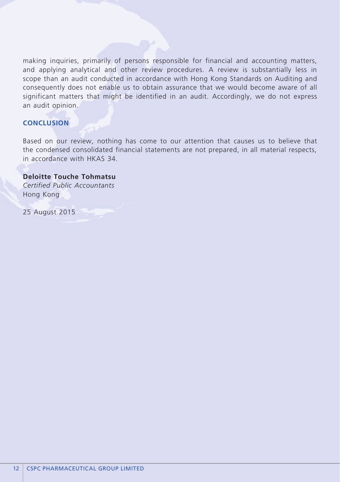making inquiries, primarily of persons responsible for financial and accounting matters, and applying analytical and other review procedures. A review is substantially less in scope than an audit conducted in accordance with Hong Kong Standards on Auditing and consequently does not enable us to obtain assurance that we would become aware of all significant matters that might be identified in an audit. Accordingly, we do not express an audit opinion.

### **Conclusion**

Based on our review, nothing has come to our attention that causes us to believe that the condensed consolidated financial statements are not prepared, in all material respects, in accordance with HKAS 34.

#### **Deloitte Touche Tohmatsu**

*Certified Public Accountants* Hong Kong

25 August 2015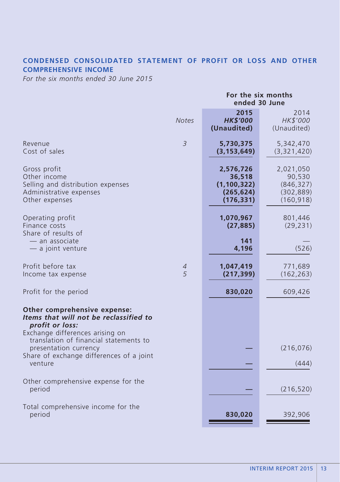### **CONDENSED CONSOLIDATED STATEMENT OF PROFIT OR LOSS AND OTHER COMPREHENSIVE INCOME**

*For the six months ended 30 June 2015*

| For the six months<br>ended 30 June |                                                                  |                                                               |
|-------------------------------------|------------------------------------------------------------------|---------------------------------------------------------------|
|                                     | 2015<br><b>HK\$'000</b><br>(Unaudited)                           | 2014<br>HK\$'000<br>(Unaudited)                               |
| 3                                   | 5,730,375<br>(3, 153, 649)                                       | 5,342,470<br>(3,321,420)                                      |
|                                     | 2,576,726<br>36,518<br>(1, 100, 322)<br>(265, 624)<br>(176, 331) | 2,021,050<br>90,530<br>(846, 327)<br>(302, 889)<br>(160, 918) |
|                                     | 1,070,967<br>(27, 885)                                           | 801,446<br>(29, 231)                                          |
|                                     | 141<br>4,196                                                     | (526)                                                         |
| $\sqrt{4}$<br>5                     | 1,047,419<br>(217, 399)                                          | 771,689<br>(162, 263)                                         |
|                                     | 830,020                                                          | 609,426                                                       |
|                                     |                                                                  |                                                               |
|                                     |                                                                  | (216, 076)                                                    |
|                                     |                                                                  | (444)                                                         |
|                                     |                                                                  | (216, 520)                                                    |
|                                     | 830,020                                                          | 392,906                                                       |
|                                     | <b>Notes</b>                                                     |                                                               |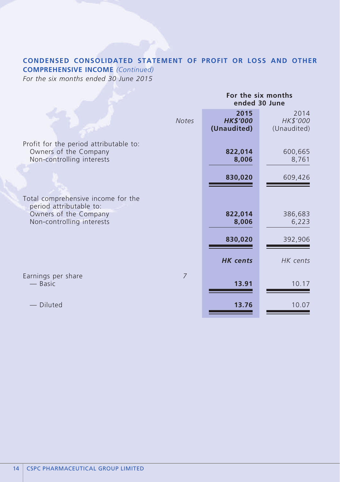### **CONDENSED CONSOLIDATED STATEMENT OF PROFIT OR LOSS AND OTHER**

**COMPREHENSIVE INCOME** *(Continued)*

*For the six months ended 30 June 2015*

|                                                                                              | For the six months<br>ended 30 June    |                                 |  |
|----------------------------------------------------------------------------------------------|----------------------------------------|---------------------------------|--|
| <b>Notes</b>                                                                                 | 2015<br><b>HK\$'000</b><br>(Unaudited) | 2014<br>HK\$'000<br>(Unaudited) |  |
| Profit for the period attributable to:<br>Owners of the Company<br>Non-controlling interests | 822,014<br>8,006                       | 600,665<br>8,761                |  |
|                                                                                              | 830,020                                | 609,426                         |  |
| Total comprehensive income for the<br>period attributable to:                                |                                        |                                 |  |
| Owners of the Company<br>Non-controlling interests                                           | 822,014<br>8,006                       | 386,683<br>6,223                |  |
|                                                                                              | 830,020                                | 392,906                         |  |
|                                                                                              | <b>HK</b> cents                        | HK cents                        |  |
| $\overline{7}$<br>Earnings per share<br>— Basic                                              | 13.91                                  | 10.17                           |  |
| <b>Diluted</b>                                                                               | 13.76                                  | 10.07                           |  |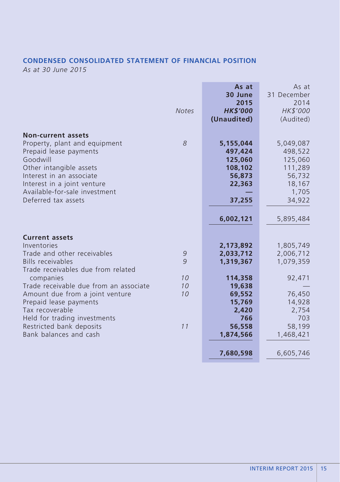# **CONDENSED CONSOLIDATED STATEMENT OF FINANCIAL POSITION**

*As at 30 June 2015*

|                                                                                                                                                                                                                                                | <b>Notes</b>         | As at<br>30 June<br>2015<br><b>HK\$'000</b><br>(Unaudited)                   | As at<br>31 December<br>2014<br>HK\$'000<br>(Audited)                             |
|------------------------------------------------------------------------------------------------------------------------------------------------------------------------------------------------------------------------------------------------|----------------------|------------------------------------------------------------------------------|-----------------------------------------------------------------------------------|
| <b>Non-current assets</b><br>Property, plant and equipment<br>Prepaid lease payments<br>Goodwill<br>Other intangible assets<br>Interest in an associate<br>Interest in a joint venture<br>Available-for-sale investment<br>Deferred tax assets | 8                    | 5,155,044<br>497,424<br>125,060<br>108,102<br>56,873<br>22,363<br>37,255     | 5,049,087<br>498,522<br>125,060<br>111,289<br>56,732<br>18,167<br>1,705<br>34,922 |
|                                                                                                                                                                                                                                                |                      | 6,002,121                                                                    | 5,895,484                                                                         |
| <b>Current assets</b><br>Inventories<br>Trade and other receivables<br><b>Bills receivables</b><br>Trade receivables due from related                                                                                                          | 9<br>9               | 2,173,892<br>2,033,712<br>1,319,367                                          | 1,805,749<br>2,006,712<br>1,079,359                                               |
| companies<br>Trade receivable due from an associate<br>Amount due from a joint venture<br>Prepaid lease payments<br>Tax recoverable<br>Held for trading investments<br>Restricted bank deposits<br>Bank balances and cash                      | 10<br>10<br>10<br>11 | 114,358<br>19,638<br>69,552<br>15,769<br>2,420<br>766<br>56,558<br>1,874,566 | 92,471<br>76,450<br>14,928<br>2,754<br>703<br>58,199<br>1,468,421                 |
|                                                                                                                                                                                                                                                |                      | 7,680,598                                                                    | 6,605,746                                                                         |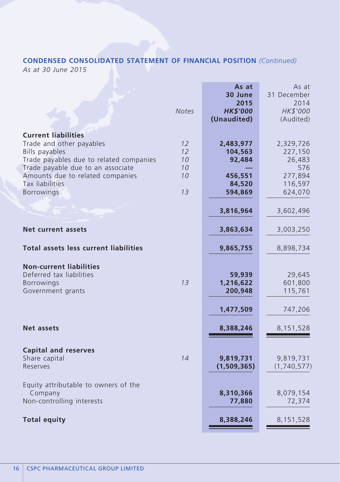# **CONDENSED CONSOLIDATED STATEMENT OF FINANCIAL POSITION** *(Continued)*

*As at 30 June 2015*

|                                              |              | As at                   | As at               |
|----------------------------------------------|--------------|-------------------------|---------------------|
|                                              |              | 30 June                 | 31 December<br>2014 |
|                                              | <b>Notes</b> | 2015<br><b>HK\$'000</b> | HK\$'000            |
|                                              |              | (Unaudited)             | (Audited)           |
|                                              |              |                         |                     |
| <b>Current liabilities</b>                   |              |                         |                     |
| Trade and other payables                     | 12           | 2,483,977               | 2,329,726           |
| <b>Bills payables</b>                        | 12           | 104,563                 | 227,150             |
| Trade payables due to related companies      | 10           | 92,484                  | 26,483              |
| Trade payable due to an associate            | 10           |                         | 576                 |
| Amounts due to related companies             | 10           | 456,551                 | 277,894             |
| Tax liabilities                              |              | 84,520                  | 116,597             |
| <b>Borrowings</b>                            | 13           | 594,869                 | 624,070             |
|                                              |              |                         |                     |
|                                              |              | 3,816,964               | 3,602,496           |
|                                              |              |                         |                     |
| Net current assets                           |              | 3,863,634               | 3,003,250           |
|                                              |              |                         |                     |
| <b>Total assets less current liabilities</b> |              | 9,865,755               | 8,898,734           |
|                                              |              |                         |                     |
| <b>Non-current liabilities</b>               |              |                         |                     |
| Deferred tax liabilities                     |              | 59,939                  | 29,645              |
| <b>Borrowings</b>                            | 13           | 1,216,622               | 601,800             |
| Government grants                            |              | 200,948                 | 115,761             |
|                                              |              |                         |                     |
|                                              |              | 1,477,509               | 747,206             |
|                                              |              |                         |                     |
| <b>Net assets</b>                            |              | 8,388,246               | 8,151,528           |
|                                              |              |                         |                     |
|                                              |              |                         |                     |
| <b>Capital and reserves</b>                  |              |                         |                     |
| Share capital                                | 14           | 9,819,731               | 9,819,731           |
| Reserves                                     |              | (1,509,365)             | (1,740,577)         |
|                                              |              |                         |                     |
| Equity attributable to owners of the         |              |                         |                     |
| Company                                      |              | 8,310,366               | 8,079,154           |
| Non-controlling interests                    |              | 77,880                  | 72,374              |
|                                              |              |                         |                     |
| <b>Total equity</b>                          |              | 8,388,246               | 8,151,528           |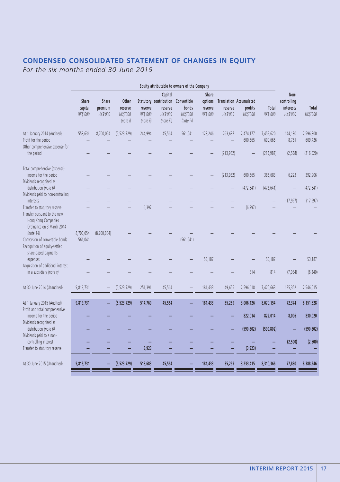# **CONDENSED CONSOLIDATED STATEMENT OF CHANGES IN EQUITY**

*For the six months ended 30 June 2015*

|                                                                                                                                    |                              |                              |                                          |                                  |                                                                                    | Equity attributable to owners of the Company |                              |                     |                                                        |                      |                                              |                      |
|------------------------------------------------------------------------------------------------------------------------------------|------------------------------|------------------------------|------------------------------------------|----------------------------------|------------------------------------------------------------------------------------|----------------------------------------------|------------------------------|---------------------|--------------------------------------------------------|----------------------|----------------------------------------------|----------------------|
|                                                                                                                                    | Share<br>capital<br>HK\$'000 | Share<br>premium<br>HK\$'000 | Other<br>reserve<br>HK\$'000<br>(note i) | reserve<br>HK\$'000<br>(note ii) | Capital<br>Statutory contribution Convertible<br>reserve<br>HK\$'000<br>(note iii) | bonds<br>HK\$'000<br>(note iv)               | Share<br>reserve<br>HK\$'000 | reserve<br>HK\$'000 | options Translation Accumulated<br>profits<br>HK\$'000 | Total<br>HK\$'000    | Non-<br>controlling<br>interests<br>HK\$'000 | Total<br>HK\$'000    |
| At 1 January 2014 (Audited)<br>Profit for the period<br>Other comprehensive expense for                                            | 558,636                      | 8,700,054                    | (5, 523, 729)                            | 244,994                          | 45,564                                                                             | 561,041                                      | 128,246                      | 263,637             | 2,474,177<br>600,665                                   | 7,452,620<br>600,665 | 144,180<br>8,761                             | 7,596,800<br>609,426 |
| the period                                                                                                                         |                              |                              |                                          |                                  |                                                                                    |                                              |                              | (213,982)           |                                                        | (213,982)            | (2,538)                                      | (216, 520)           |
| Total comprehensive (expense)<br>income for the period<br>Dividends recognised as                                                  |                              |                              |                                          |                                  |                                                                                    |                                              |                              | (213,982)           | 600,665                                                | 386,683              | 6,223                                        | 392,906              |
| distribution (note 6)<br>Dividends paid to non-controlling                                                                         |                              |                              |                                          |                                  |                                                                                    |                                              |                              |                     | (472, 641)                                             | (472, 641)           |                                              | (472, 641)           |
| <i>interests</i><br>Transfer to statutory reserve<br>Transfer pursuant to the new<br>Hong Kong Companies                           |                              |                              |                                          | 6.397                            |                                                                                    |                                              |                              |                     | (6, 397)                                               |                      | (17, 997)                                    | (17, 997)            |
| Ordinance on 3 March 2014<br>(note 14)<br>Conversion of convertible bonds<br>Recognition of equity-settled<br>share-based payments | 8,700,054<br>561,041         | (8,700,054)                  |                                          |                                  |                                                                                    | (561, 041)                                   |                              |                     |                                                        |                      |                                              |                      |
| expenses<br>Acquisition of additional interest                                                                                     |                              |                              |                                          |                                  |                                                                                    |                                              | 53,187                       |                     |                                                        | 53,187               |                                              | 53,187               |
| in a subsidiary (note v)                                                                                                           |                              |                              |                                          |                                  |                                                                                    |                                              |                              |                     | 814                                                    | 814                  | (7,054)                                      | (6, 240)             |
| At 30 June 2014 (Unaudited)                                                                                                        | 9,819,731                    |                              | (5, 523, 729)                            | 251,391                          | 45,564                                                                             |                                              | 181,433                      | 49,655              | 2,596,618                                              | 7,420,663            | 125,352                                      | 7,546,015            |
| At 1 January 2015 (Audited)<br>Profit and total comprehensive<br>income for the period                                             | 9,819,731                    |                              | (5, 523, 729)                            | 514,760                          | 45,564                                                                             |                                              | 181,433                      | 35,269              | 3,006,126<br>822,014                                   | 8,079,154<br>822,014 | 72,374<br>8,006                              | 8,151,528<br>830,020 |
| Dividends recognised as<br>distribution (note 6)                                                                                   |                              |                              |                                          |                                  |                                                                                    |                                              |                              |                     | (590, 802)                                             | (590, 802)           |                                              | (590, 802)           |
| Dividends paid to a non-<br>controlling interest<br>Transfer to statutory reserve                                                  |                              |                              |                                          | 3,923                            |                                                                                    |                                              |                              |                     | (3,923)                                                |                      | (2,500)                                      | (2,500)              |
| At 30 June 2015 (Unaudited)                                                                                                        | 9,819,731                    |                              | (5, 523, 729)                            | 518,683                          | 45,564                                                                             |                                              | 181,433                      | 35,269              | 3,233,415                                              | 8,310,366            | 77,880                                       | 8,388,246            |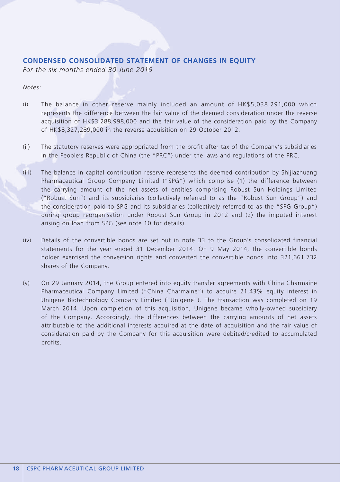### **CONDENSED CONSOLIDATED STATEMENT OF CHANGES IN EQUITY**

*For the six months ended 30 June 2015*

*Notes:*

- (i) The balance in other reserve mainly included an amount of HK\$5,038,291,000 which represents the difference between the fair value of the deemed consideration under the reverse acquisition of HK\$3,288,998,000 and the fair value of the consideration paid by the Company of HK\$8,327,289,000 in the reverse acquisition on 29 October 2012.
- (ii) The statutory reserves were appropriated from the profit after tax of the Company's subsidiaries in the People's Republic of China (the "PRC") under the laws and regulations of the PRC.
- (iii) The balance in capital contribution reserve represents the deemed contribution by Shijiazhuang Pharmaceutical Group Company Limited ("SPG") which comprise (1) the difference between the carrying amount of the net assets of entities comprising Robust Sun Holdings Limited ("Robust Sun") and its subsidiaries (collectively referred to as the "Robust Sun Group") and the consideration paid to SPG and its subsidiaries (collectively referred to as the "SPG Group") during group reorganisation under Robust Sun Group in 2012 and (2) the imputed interest arising on loan from SPG (see note 10 for details).
- (iv) Details of the convertible bonds are set out in note 33 to the Group's consolidated financial statements for the year ended 31 December 2014. On 9 May 2014, the convertible bonds holder exercised the conversion rights and converted the convertible bonds into 321,661,732 shares of the Company.
- (v) On 29 January 2014, the Group entered into equity transfer agreements with China Charmaine Pharmaceutical Company Limited ("China Charmaine") to acquire 21.43% equity interest in Unigene Biotechnology Company Limited ("Unigene"). The transaction was completed on 19 March 2014. Upon completion of this acquisition, Unigene became wholly-owned subsidiary of the Company. Accordingly, the differences between the carrying amounts of net assets attributable to the additional interests acquired at the date of acquisition and the fair value of consideration paid by the Company for this acquisition were debited/credited to accumulated profits.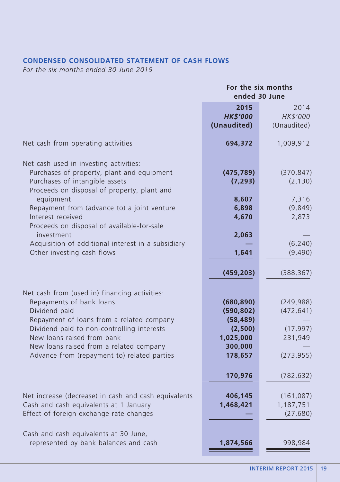# **CONDENSED CONSOLIDATED STATEMENT OF CASH FLOWS**

*For the six months ended 30 June 2015*

|                                                                                                                                                                                                                                                                                                               | For the six months<br>ended 30 June                                                 |                                                                |  |
|---------------------------------------------------------------------------------------------------------------------------------------------------------------------------------------------------------------------------------------------------------------------------------------------------------------|-------------------------------------------------------------------------------------|----------------------------------------------------------------|--|
|                                                                                                                                                                                                                                                                                                               | 2015<br><b>HK\$'000</b><br>(Unaudited)                                              | 2014<br>HK\$'000<br>(Unaudited)                                |  |
| Net cash from operating activities                                                                                                                                                                                                                                                                            | 694,372                                                                             | 1,009,912                                                      |  |
| Net cash used in investing activities:<br>Purchases of property, plant and equipment<br>Purchases of intangible assets<br>Proceeds on disposal of property, plant and                                                                                                                                         | (475, 789)<br>(7, 293)                                                              | (370, 847)<br>(2, 130)                                         |  |
| equipment<br>Repayment from (advance to) a joint venture<br>Interest received<br>Proceeds on disposal of available-for-sale                                                                                                                                                                                   | 8,607<br>6,898<br>4,670                                                             | 7,316<br>(9,849)<br>2,873                                      |  |
| investment<br>Acquisition of additional interest in a subsidiary<br>Other investing cash flows                                                                                                                                                                                                                | 2,063<br>1,641                                                                      | (6, 240)<br>(9,490)                                            |  |
|                                                                                                                                                                                                                                                                                                               | (459, 203)                                                                          | (388, 367)                                                     |  |
| Net cash from (used in) financing activities:<br>Repayments of bank loans<br>Dividend paid<br>Repayment of loans from a related company<br>Dividend paid to non-controlling interests<br>New loans raised from bank<br>New loans raised from a related company<br>Advance from (repayment to) related parties | (680, 890)<br>(590, 802)<br>(58, 489)<br>(2,500)<br>1,025,000<br>300,000<br>178,657 | (249, 988)<br>(472, 641)<br>(17, 997)<br>231,949<br>(273, 955) |  |
|                                                                                                                                                                                                                                                                                                               | 170,976                                                                             | (782, 632)                                                     |  |
| Net increase (decrease) in cash and cash equivalents<br>Cash and cash equivalents at 1 January<br>Effect of foreign exchange rate changes                                                                                                                                                                     | 406,145<br>1,468,421                                                                | (161, 087)<br>1,187,751<br>(27, 680)                           |  |
| Cash and cash equivalents at 30 June,<br>represented by bank balances and cash                                                                                                                                                                                                                                | 1,874,566                                                                           | 998,984                                                        |  |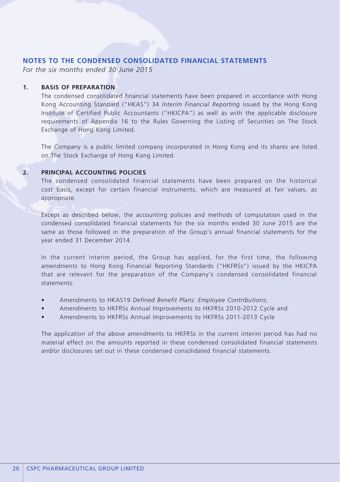### **NOTES TO THE CONDENSED CONSOLIDATED FINANCIAL STATEMENTS**

*For the six months ended 30 June 2015*

#### **1. BASIS OF PREPARATION**

The condensed consolidated financial statements have been prepared in accordance with Hong Kong Accounting Standard ("HKAS") 34 *Interim Financial Reporting* issued by the Hong Kong Institute of Certified Public Accountants ("HKICPA") as well as with the applicable disclosure requirements of Appendix 16 to the Rules Governing the Listing of Securities on The Stock Exchange of Hong Kong Limited.

The Company is a public limited company incorporated in Hong Kong and its shares are listed on The Stock Exchange of Hong Kong Limited.

#### **2. PRINCIPAL ACCOUNTING POLICIES**

The condensed consolidated financial statements have been prepared on the historical cost basis, except for certain financial instruments, which are measured at fair values, as appropriate.

Except as described below, the accounting policies and methods of computation used in the condensed consolidated financial statements for the six months ended 30 June 2015 are the same as those followed in the preparation of the Group's annual financial statements for the year ended 31 December 2014.

In the current interim period, the Group has applied, for the first time, the following amendments to Hong Kong Financial Reporting Standards ("HKFRSs") issued by the HKICPA that are relevant for the preparation of the Company's condensed consolidated financial statements:

- Amendments to HKAS19 Defined Benefit Plans: Employee Contributions;
- Amendments to HKFRSs Annual Improvements to HKFRSs 2010-2012 Cycle and
- Amendments to HKFRSs Annual Improvements to HKFRSs 2011-2013 Cycle

The application of the above amendments to HKFRSs in the current interim period has had no material effect on the amounts reported in these condensed consolidated financial statements and/or disclosures set out in these condensed consolidated financial statements.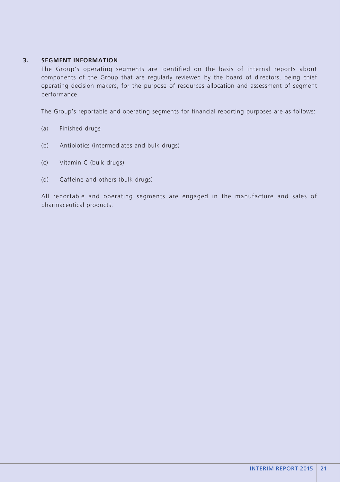#### **3. SEGMENT INFORMATION**

The Group's operating segments are identified on the basis of internal reports about components of the Group that are regularly reviewed by the board of directors, being chief operating decision makers, for the purpose of resources allocation and assessment of segment performance.

The Group's reportable and operating segments for financial reporting purposes are as follows:

- (a) Finished drugs
- (b) Antibiotics (intermediates and bulk drugs)
- (c) Vitamin C (bulk drugs)
- (d) Caffeine and others (bulk drugs)

All reportable and operating segments are engaged in the manufacture and sales of pharmaceutical products.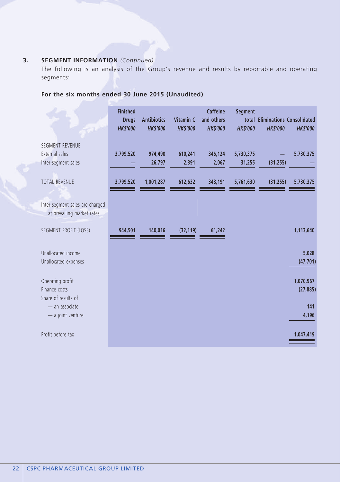# **3. SEGMENT INFORMATION** *(Continued)*

The following is an analysis of the Group's revenue and results by reportable and operating segments:

# **For the six months ended 30 June 2015 (Unaudited)**

|                                                                 | <b>Finished</b><br><b>Drugs</b><br><b>HK\$'000</b> | <b>Antibiotics</b><br><b>HK\$'000</b> | Vitamin C<br><b>HK\$'000</b> | Caffeine<br>and others<br><b>HK\$'000</b> | Segment<br><b>HK\$'000</b> | <b>HK\$'000</b> | total Eliminations Consolidated<br><b>HK\$'000</b> |
|-----------------------------------------------------------------|----------------------------------------------------|---------------------------------------|------------------------------|-------------------------------------------|----------------------------|-----------------|----------------------------------------------------|
| <b>SEGMENT REVENUE</b><br>External sales<br>Inter-segment sales | 3,799,520                                          | 974,490<br>26,797                     | 610,241<br>2,391             | 346,124<br>2,067                          | 5,730,375<br>31,255        | (31, 255)       | 5,730,375                                          |
| <b>TOTAL REVENUE</b>                                            | 3,799,520                                          | 1,001,287                             | 612,632                      | 348,191                                   | 5,761,630                  | (31, 255)       | 5,730,375                                          |
| Inter-segment sales are charged<br>at prevailing market rates.  |                                                    |                                       |                              |                                           |                            |                 |                                                    |
| SEGMENT PROFIT (LOSS)                                           | 944,501                                            | 140,016                               | (32, 119)                    | 61,242                                    |                            |                 | 1,113,640                                          |
| Unallocated income<br>Unallocated expenses                      |                                                    |                                       |                              |                                           |                            |                 | 5,028<br>(47, 701)                                 |
| Operating profit<br>Finance costs<br>Share of results of        |                                                    |                                       |                              |                                           |                            |                 | 1,070,967<br>(27, 885)                             |
| - an associate<br>- a joint venture                             |                                                    |                                       |                              |                                           |                            |                 | 141<br>4,196                                       |
| Profit before tax                                               |                                                    |                                       |                              |                                           |                            |                 | 1,047,419                                          |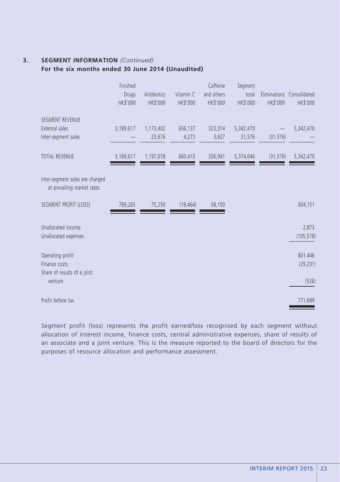# **3. SEGMENT INFORMATION** *(Continued)*

**For the six months ended 30 June 2014 (Unaudited)**

|                                                                  | Finished<br>Drugs<br>HK\$'000 | Antibiotics<br>HK\$'000 | Vitamin C<br>HK\$'000 | Caffeine<br>and others<br>HK\$'000 | Segment<br>total<br>HK\$'000 | HK\$'000  | Eliminations Consolidated<br>HK\$'000 |
|------------------------------------------------------------------|-------------------------------|-------------------------|-----------------------|------------------------------------|------------------------------|-----------|---------------------------------------|
| SEGMENT REVENUE<br>External sales<br>Inter-segment sales         | 3,189,617                     | 1,173,402<br>23,676     | 656,137<br>4,273      | 323,314<br>3,627                   | 5,342,470<br>31,576          | (31, 576) | 5,342,470                             |
| <b>TOTAL REVENUE</b>                                             | 3,189,617                     | 1,197,078               | 660,410               | 326,941                            | 5,374,046                    | (31, 576) | 5,342,470                             |
| Inter-segment sales are charged<br>at prevailing market rates.   |                               |                         |                       |                                    |                              |           |                                       |
| SEGMENT PROFIT (LOSS)                                            | 789,265                       | 75,250                  | (18, 464)             | 58,100                             |                              |           | 904,151                               |
| Unallocated income<br>Unallocated expenses                       |                               |                         |                       |                                    |                              |           | 2,873<br>(105, 578)                   |
| Operating profit<br>Finance costs<br>Share of results of a joint |                               |                         |                       |                                    |                              |           | 801,446<br>(29, 231)                  |
| venture                                                          |                               |                         |                       |                                    |                              |           | (526)                                 |
| Profit before tax                                                |                               |                         |                       |                                    |                              |           | 771,689                               |

Segment profit (loss) represents the profit earned/loss recognised by each segment without allocation of interest income, finance costs, central administrative expenses, share of results of an associate and a joint venture. This is the measure reported to the board of directors for the purposes of resource allocation and performance assessment.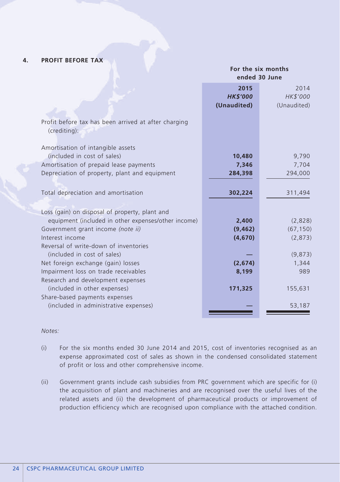### **4. PROFIT BEFORE TAX**

|  | For the six months |
|--|--------------------|
|  | ended 30 June      |

|                                                                      | 2015            | 2014        |  |  |
|----------------------------------------------------------------------|-----------------|-------------|--|--|
|                                                                      | <b>HK\$'000</b> | HK\$'000    |  |  |
|                                                                      | (Unaudited)     | (Unaudited) |  |  |
| Profit before tax has been arrived at after charging<br>(crediting): |                 |             |  |  |
| Amortisation of intangible assets                                    |                 |             |  |  |
| (included in cost of sales)                                          | 10,480          | 9,790       |  |  |
| Amortisation of prepaid lease payments                               | 7,346           | 7,704       |  |  |
| Depreciation of property, plant and equipment                        | 284,398         | 294,000     |  |  |
| Total depreciation and amortisation                                  | 302,224         | 311,494     |  |  |
|                                                                      |                 |             |  |  |
| Loss (gain) on disposal of property, plant and                       |                 |             |  |  |
| equipment (included in other expenses/other income)                  | 2,400           | (2,828)     |  |  |
| Government grant income (note ii)                                    | (9, 462)        | (67, 150)   |  |  |
| Interest income                                                      | (4,670)         | (2,873)     |  |  |
| Reversal of write-down of inventories                                |                 |             |  |  |
| (included in cost of sales)                                          |                 | (9,873)     |  |  |
| Net foreign exchange (gain) losses                                   | (2,674)         | 1,344       |  |  |
| Impairment loss on trade receivables                                 | 8,199           | 989         |  |  |
| Research and development expenses                                    |                 |             |  |  |
| (included in other expenses)                                         | 171,325         | 155,631     |  |  |
| Share-based payments expenses                                        |                 |             |  |  |
| (included in administrative expenses)                                |                 | 53,187      |  |  |
|                                                                      |                 |             |  |  |

#### *Notes:*

- (i) For the six months ended 30 June 2014 and 2015, cost of inventories recognised as an expense approximated cost of sales as shown in the condensed consolidated statement of profit or loss and other comprehensive income.
- (ii) Government grants include cash subsidies from PRC government which are specific for (i) the acquisition of plant and machineries and are recognised over the useful lives of the related assets and (ii) the development of pharmaceutical products or improvement of production efficiency which are recognised upon compliance with the attached condition.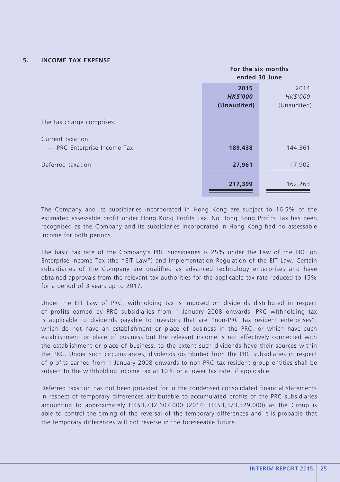#### **5. INCOME TAX EXPENSE**

|                                               | For the six months<br>ended 30 June |             |
|-----------------------------------------------|-------------------------------------|-------------|
|                                               | 2015                                | 2014        |
|                                               | <b>HK\$'000</b>                     | HK\$'000    |
|                                               | (Unaudited)                         | (Unaudited) |
| The tax charge comprises:<br>Current taxation |                                     |             |
| - PRC Enterprise Income Tax                   | 189,438                             | 144,361     |
| Deferred taxation                             | 27,961                              | 17,902      |
|                                               | 217,399                             | 162,263     |
|                                               |                                     |             |

The Company and its subsidiaries incorporated in Hong Kong are subject to 16.5% of the estimated assessable profit under Hong Kong Profits Tax. No Hong Kong Profits Tax has been recognised as the Company and its subsidiaries incorporated in Hong Kong had no assessable income for both periods.

The basic tax rate of the Company's PRC subsidiaries is 25% under the Law of the PRC on Enterprise Income Tax (the "EIT Law") and Implementation Regulation of the EIT Law. Certain subsidiaries of the Company are qualified as advanced technology enterprises and have obtained approvals from the relevant tax authorities for the applicable tax rate reduced to 15% for a period of 3 years up to 2017.

Under the EIT Law of PRC, withholding tax is imposed on dividends distributed in respect of profits earned by PRC subsidiaries from 1 January 2008 onwards. PRC withholding tax is applicable to dividends payable to investors that are "non-PRC tax resident enterprises", which do not have an establishment or place of business in the PRC, or which have such establishment or place of business but the relevant income is not effectively connected with the establishment or place of business, to the extent such dividends have their sources within the PRC. Under such circumstances, dividends distributed from the PRC subsidiaries in respect of profits earned from 1 January 2008 onwards to non-PRC tax resident group entities shall be subject to the withholding income tax at 10% or a lower tax rate, if applicable.

Deferred taxation has not been provided for in the condensed consolidated financial statements in respect of temporary differences attributable to accumulated profits of the PRC subsidiaries amounting to approximately HK\$3,732,107,000 (2014: HK\$3,373,329,000) as the Group is able to control the timing of the reversal of the temporary differences and it is probable that the temporary differences will not reverse in the foreseeable future.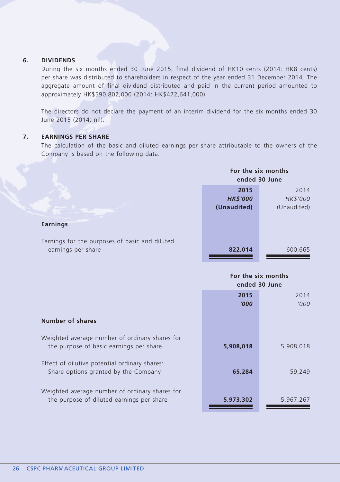#### **6. DIVIDENDS**

During the six months ended 30 June 2015, final dividend of HK10 cents (2014: HK8 cents) per share was distributed to shareholders in respect of the year ended 31 December 2014. The aggregate amount of final dividend distributed and paid in the current period amounted to approximately HK\$590,802,000 (2014: HK\$472,641,000).

The directors do not declare the payment of an interim dividend for the six months ended 30 June 2015 (2014: nil).

#### **7. EARNINGS PER SHARE**

The calculation of the basic and diluted earnings per share attributable to the owners of the Company is based on the following data:

|                                                                      | For the six months<br>ended 30 June    |                                 |
|----------------------------------------------------------------------|----------------------------------------|---------------------------------|
| <b>Earnings</b>                                                      | 2015<br><b>HK\$'000</b><br>(Unaudited) | 2014<br>HK\$'000<br>(Unaudited) |
| Earnings for the purposes of basic and diluted<br>earnings per share | 822,014                                | 600,665                         |

|                                                                                             | For the six months<br>ended 30 June |               |
|---------------------------------------------------------------------------------------------|-------------------------------------|---------------|
|                                                                                             | 2015<br>'000                        | 2014<br>'000' |
| Number of shares                                                                            |                                     |               |
| Weighted average number of ordinary shares for<br>the purpose of basic earnings per share   | 5,908,018                           | 5,908,018     |
| Effect of dilutive potential ordinary shares:<br>Share options granted by the Company       | 65,284                              | 59,249        |
| Weighted average number of ordinary shares for<br>the purpose of diluted earnings per share | 5,973,302                           | 5,967,267     |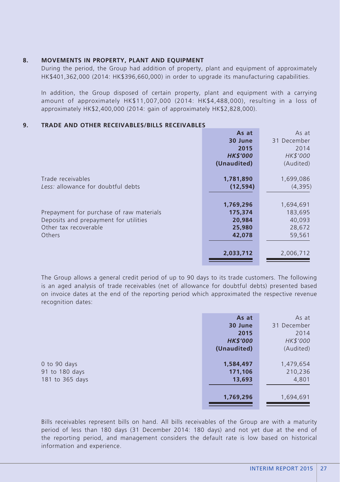#### **8. MOVEMENTS IN PROPERTY, PLANT AND EQUIPMENT**

During the period, the Group had addition of property, plant and equipment of approximately HK\$401,362,000 (2014: HK\$396,660,000) in order to upgrade its manufacturing capabilities.

In addition, the Group disposed of certain property, plant and equipment with a carrying amount of approximately HK\$11,007,000 (2014: HK\$4,488,000), resulting in a loss of approximately HK\$2,400,000 (2014: gain of approximately HK\$2,828,000).

#### **9. TRADE AND OTHER RECEIVABLES/BILLS RECEIVABLES**

|                                          | As at           | As at       |
|------------------------------------------|-----------------|-------------|
|                                          | 30 June         | 31 December |
|                                          | 2015            | 2014        |
|                                          | <b>HK\$'000</b> | HK\$'000    |
|                                          | (Unaudited)     | (Audited)   |
| Trade receivables                        | 1,781,890       | 1,699,086   |
| Less: allowance for doubtful debts       | (12, 594)       | (4,395)     |
|                                          |                 |             |
|                                          | 1,769,296       | 1,694,691   |
| Prepayment for purchase of raw materials | 175,374         | 183,695     |
| Deposits and prepayment for utilities    | 20,984          | 40,093      |
| Other tax recoverable                    | 25,980          | 28,672      |
| Others                                   | 42,078          | 59,561      |
|                                          |                 |             |
|                                          | 2,033,712       | 2,006,712   |

The Group allows a general credit period of up to 90 days to its trade customers. The following is an aged analysis of trade receivables (net of allowance for doubtful debts) presented based on invoice dates at the end of the reporting period which approximated the respective revenue recognition dates:

|                 | As at           | As at       |
|-----------------|-----------------|-------------|
|                 | 30 June         | 31 December |
|                 | 2015            | 2014        |
|                 | <b>HK\$'000</b> | HK\$'000    |
|                 | (Unaudited)     | (Audited)   |
|                 |                 |             |
| 0 to 90 days    | 1,584,497       | 1,479,654   |
| 91 to 180 days  | 171,106         | 210,236     |
| 181 to 365 days | 13,693          | 4,801       |
|                 |                 |             |
|                 | 1,769,296       | 1,694,691   |
|                 |                 |             |

Bills receivables represent bills on hand. All bills receivables of the Group are with a maturity period of less than 180 days (31 December 2014: 180 days) and not yet due at the end of the reporting period, and management considers the default rate is low based on historical information and experience.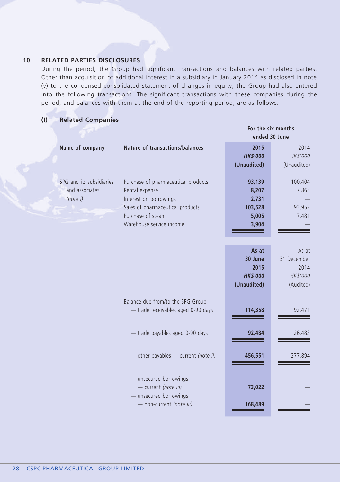### **10. RELATED PARTIES DISCLOSURES**

During the period, the Group had significant transactions and balances with related parties. Other than acquisition of additional interest in a subsidiary in January 2014 as disclosed in note (v) to the condensed consolidated statement of changes in equity, the Group had also entered into the following transactions. The significant transactions with these companies during the period, and balances with them at the end of the reporting period, are as follows:

#### **(I) Related Companies**

|                                                        |                                                                                                                                                                      | For the six months<br>ended 30 June                        |                                                       |
|--------------------------------------------------------|----------------------------------------------------------------------------------------------------------------------------------------------------------------------|------------------------------------------------------------|-------------------------------------------------------|
| Name of company                                        | Nature of transactions/balances                                                                                                                                      | 2015<br><b>HK\$'000</b><br>(Unaudited)                     | 2014<br>HK\$'000<br>(Unaudited)                       |
| SPG and its subsidiaries<br>and associates<br>(note i) | Purchase of pharmaceutical products<br>Rental expense<br>Interest on borrowings<br>Sales of pharmaceutical products<br>Purchase of steam<br>Warehouse service income | 93,139<br>8,207<br>2,731<br>103,528<br>5,005<br>3,904      | 100,404<br>7,865<br>93,952<br>7,481                   |
|                                                        |                                                                                                                                                                      | As at<br>30 June<br>2015<br><b>HK\$'000</b><br>(Unaudited) | As at<br>31 December<br>2014<br>HK\$'000<br>(Audited) |
|                                                        | Balance due from/to the SPG Group<br>- trade receivables aged 0-90 days                                                                                              | 114,358                                                    | 92,471                                                |
|                                                        | - trade payables aged 0-90 days                                                                                                                                      | 92,484                                                     | 26,483                                                |
|                                                        | $-$ other payables $-$ current (note ii)                                                                                                                             | 456,551                                                    | 277,894                                               |
|                                                        | - unsecured borrowings<br>- current (note iii)<br>- unsecured borrowings<br>- non-current (note iii)                                                                 | 73,022<br>168,489                                          |                                                       |
|                                                        |                                                                                                                                                                      |                                                            |                                                       |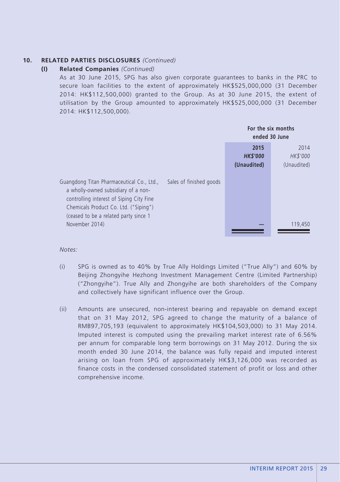#### **(I) Related Companies** *(Continued)*

As at 30 June 2015, SPG has also given corporate guarantees to banks in the PRC to secure loan facilities to the extent of approximately HK\$525,000,000 (31 December 2014: HK\$112,500,000) granted to the Group. As at 30 June 2015, the extent of utilisation by the Group amounted to approximately HK\$525,000,000 (31 December 2014: HK\$112,500,000).

|                                                                                                                                                                                                                |                         | For the six months<br>ended 30 June    |                                 |
|----------------------------------------------------------------------------------------------------------------------------------------------------------------------------------------------------------------|-------------------------|----------------------------------------|---------------------------------|
|                                                                                                                                                                                                                |                         | 2015<br><b>HK\$'000</b><br>(Unaudited) | 2014<br>HK\$'000<br>(Unaudited) |
| Guangdong Titan Pharmaceutical Co., Ltd.,<br>a wholly-owned subsidiary of a non-<br>controlling interest of Siping City Fine<br>Chemicals Product Co. Ltd. ("Siping")<br>(ceased to be a related party since 1 | Sales of finished goods |                                        |                                 |
| November 2014)                                                                                                                                                                                                 |                         |                                        | 119,450                         |

*Notes:*

- (i) SPG is owned as to 40% by True Ally Holdings Limited ("True Ally") and 60% by Beijing Zhongyihe Hezhong Investment Management Centre (Limited Partnership) ("Zhongyihe"). True Ally and Zhongyihe are both shareholders of the Company and collectively have significant influence over the Group.
- (ii) Amounts are unsecured, non-interest bearing and repayable on demand except that on 31 May 2012, SPG agreed to change the maturity of a balance of RMB97,705,193 (equivalent to approximately HK\$104,503,000) to 31 May 2014. Imputed interest is computed using the prevailing market interest rate of 6.56% per annum for comparable long term borrowings on 31 May 2012. During the six month ended 30 June 2014, the balance was fully repaid and imputed interest arising on loan from SPG of approximately HK\$3,126,000 was recorded as finance costs in the condensed consolidated statement of profit or loss and other comprehensive income.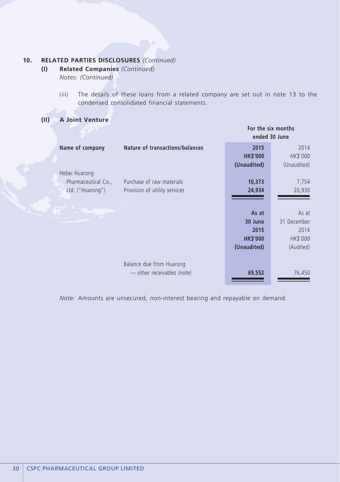**(I) Related Companies** *(Continued) Notes: (Continued)*

> (iii) The details of these loans from a related company are set out in note 13 to the condensed consolidated financial statements.

#### **(II) A Joint Venture**

|                     |                                 |                 | For the six months<br>ended 30 June |
|---------------------|---------------------------------|-----------------|-------------------------------------|
| Name of company     | Nature of transactions/balances | 2015            | 2014                                |
|                     |                                 | <b>HK\$'000</b> | HK\$'000                            |
|                     |                                 | (Unaudited)     | (Unaudited)                         |
| Hebei Huarong       |                                 |                 |                                     |
| Pharmaceutical Co., | Purchase of raw materials       | 10,373          | 7,754                               |
| Ltd. ("Huarong")    | Provision of utility services   | 24,934          | 20,930                              |
|                     |                                 |                 |                                     |
|                     |                                 | As at           | As at                               |
|                     |                                 | 30 June         | 31 December                         |
|                     |                                 | 2015            | 2014                                |
|                     |                                 | <b>HK\$'000</b> | HK\$'000                            |
|                     |                                 | (Unaudited)     | (Audited)                           |
|                     |                                 |                 |                                     |
|                     | Balance due from Huarong        |                 |                                     |
|                     | - other receivables (note)      | 69,552          | 76,450                              |
|                     |                                 |                 |                                     |

*Note:* Amounts are unsecured, non-interest bearing and repayable on demand.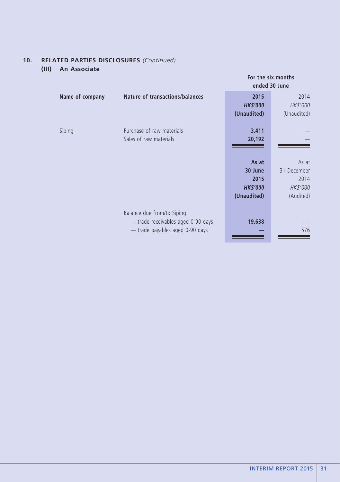**(III) An Associate**

|                 |                                                                                                     | For the six months<br>ended 30 June                        |                                                       |  |
|-----------------|-----------------------------------------------------------------------------------------------------|------------------------------------------------------------|-------------------------------------------------------|--|
| Name of company | Nature of transactions/balances                                                                     | 2015<br><b>HK\$'000</b><br>(Unaudited)                     | 2014<br>HK\$'000<br>(Unaudited)                       |  |
| Siping          | Purchase of raw materials<br>Sales of raw materials                                                 | 3,411<br>20,192                                            |                                                       |  |
|                 |                                                                                                     | As at<br>30 June<br>2015<br><b>HK\$'000</b><br>(Unaudited) | As at<br>31 December<br>2014<br>HK\$'000<br>(Audited) |  |
|                 | Balance due from/to Siping<br>- trade receivables aged 0-90 days<br>- trade payables aged 0-90 days | 19,638                                                     | 576                                                   |  |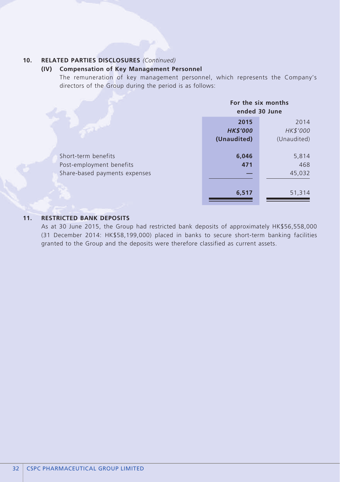#### **(IV) Compensation of Key Management Personnel**

The remuneration of key management personnel, which represents the Company's directors of the Group during the period is as follows:

|                               | For the six months<br>ended 30 June |             |
|-------------------------------|-------------------------------------|-------------|
|                               | 2015                                | 2014        |
|                               | <b>HK\$'000</b>                     | HK\$'000    |
|                               | (Unaudited)                         | (Unaudited) |
|                               |                                     |             |
| Short-term benefits           | 6,046                               | 5,814       |
| Post-employment benefits      | 471                                 | 468         |
| Share-based payments expenses |                                     | 45,032      |
|                               |                                     |             |
|                               | 6,517                               | 51,314      |

### **11. RESTRICTED BANK DEPOSITS**

As at 30 June 2015, the Group had restricted bank deposits of approximately HK\$56,558,000 (31 December 2014: HK\$58,199,000) placed in banks to secure short-term banking facilities granted to the Group and the deposits were therefore classified as current assets.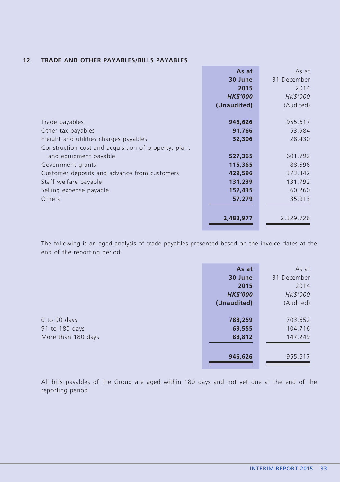| TRADE AND OTHER PAYABLES/BILLS PAYABLES | 12. |  |  |  |  |  |  |
|-----------------------------------------|-----|--|--|--|--|--|--|
|-----------------------------------------|-----|--|--|--|--|--|--|

|                                                      | As at           | As at       |
|------------------------------------------------------|-----------------|-------------|
|                                                      | 30 June         | 31 December |
|                                                      | 2015            | 2014        |
|                                                      | <b>HK\$'000</b> | HK\$'000    |
|                                                      | (Unaudited)     | (Audited)   |
|                                                      |                 |             |
| Trade payables                                       | 946,626         | 955,617     |
| Other tax payables                                   | 91,766          | 53,984      |
| Freight and utilities charges payables               | 32,306          | 28,430      |
| Construction cost and acquisition of property, plant |                 |             |
| and equipment payable                                | 527,365         | 601,792     |
| Government grants                                    | 115,365         | 88,596      |
| Customer deposits and advance from customers         | 429,596         | 373,342     |
| Staff welfare payable                                | 131,239         | 131,792     |
| Selling expense payable                              | 152,435         | 60,260      |
| Others                                               | 57,279          | 35,913      |
|                                                      |                 |             |
|                                                      | 2,483,977       | 2,329,726   |

The following is an aged analysis of trade payables presented based on the invoice dates at the end of the reporting period:

|                    | As at           | As at       |
|--------------------|-----------------|-------------|
|                    | 30 June         | 31 December |
|                    | 2015            | 2014        |
|                    | <b>HK\$'000</b> | HK\$'000    |
|                    | (Unaudited)     | (Audited)   |
|                    |                 |             |
| 0 to 90 days       | 788,259         | 703,652     |
| 91 to 180 days     | 69,555          | 104,716     |
| More than 180 days | 88,812          | 147,249     |
|                    |                 |             |
|                    | 946,626         | 955,617     |
|                    |                 |             |

All bills payables of the Group are aged within 180 days and not yet due at the end of the reporting period.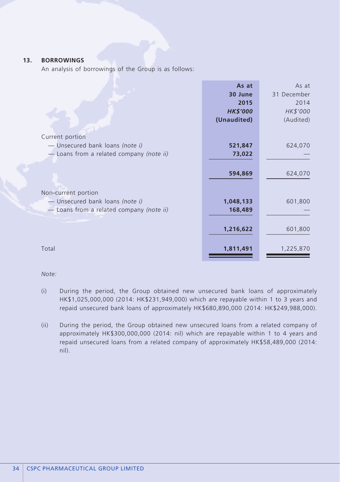#### **13. BORROWINGS**

An analysis of borrowings of the Group is as follows:

|                                                                                                    | As at<br>30 June<br>2015<br><b>HK\$'000</b><br>(Unaudited) | As at<br>31 December<br>2014<br>HK\$'000<br>(Audited) |
|----------------------------------------------------------------------------------------------------|------------------------------------------------------------|-------------------------------------------------------|
| Current portion<br>- Unsecured bank loans (note i)<br>- Loans from a related company (note ii)     | 521,847<br>73,022                                          | 624,070                                               |
|                                                                                                    | 594,869                                                    | 624,070                                               |
| Non-current portion<br>- Unsecured bank loans (note i)<br>- Loans from a related company (note ii) | 1,048,133<br>168,489                                       | 601,800                                               |
|                                                                                                    | 1,216,622                                                  | 601,800                                               |
| Total                                                                                              | 1,811,491                                                  | 1,225,870                                             |

*Note:*

- (i) During the period, the Group obtained new unsecured bank loans of approximately HK\$1,025,000,000 (2014: HK\$231,949,000) which are repayable within 1 to 3 years and repaid unsecured bank loans of approximately HK\$680,890,000 (2014: HK\$249,988,000).
- (ii) During the period, the Group obtained new unsecured loans from a related company of approximately HK\$300,000,000 (2014: nil) which are repayable within 1 to 4 years and repaid unsecured loans from a related company of approximately HK\$58,489,000 (2014: nil).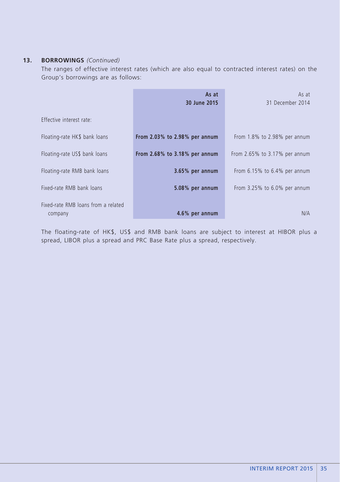### **13. BORROWINGS** *(Continued)*

The ranges of effective interest rates (which are also equal to contracted interest rates) on the Group's borrowings are as follows:

|                                                | As at<br>30 June 2015               | As at<br>31 December 2014          |
|------------------------------------------------|-------------------------------------|------------------------------------|
| Effective interest rate:                       |                                     |                                    |
| Floating-rate HK\$ bank loans                  | From 2.03% to 2.98% per annum       | From 1.8% to 2.98% per annum       |
| Floating-rate US\$ bank loans                  | From $2.68\%$ to $3.18\%$ per annum | From 2.65% to 3.17% per annum      |
| Floating-rate RMB bank loans                   | 3.65% per annum                     | From $6.15\%$ to $6.4\%$ per annum |
| Fixed-rate RMB bank loans                      | 5.08% per annum                     | From $3.25\%$ to $6.0\%$ per annum |
| Fixed-rate RMB loans from a related<br>company | 4.6% per annum                      | N/A                                |

The floating-rate of HK\$, US\$ and RMB bank loans are subject to interest at HIBOR plus a spread, LIBOR plus a spread and PRC Base Rate plus a spread, respectively.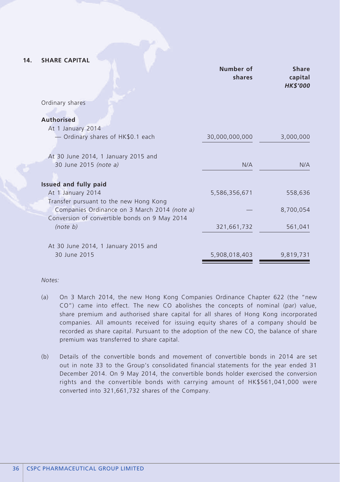### **14. SHARE CAPITAL**

|                                                                                        | Number of<br>shares | <b>Share</b><br>capital<br><b>HK\$'000</b> |
|----------------------------------------------------------------------------------------|---------------------|--------------------------------------------|
| Ordinary shares                                                                        |                     |                                            |
| <b>Authorised</b>                                                                      |                     |                                            |
| At 1 January 2014                                                                      |                     |                                            |
| - Ordinary shares of HK\$0.1 each                                                      | 30,000,000,000      | 3,000,000                                  |
| At 30 June 2014, 1 January 2015 and                                                    |                     |                                            |
| 30 June 2015 (note a)                                                                  | N/A                 | N/A                                        |
|                                                                                        |                     |                                            |
| Issued and fully paid                                                                  |                     |                                            |
| At 1 January 2014                                                                      | 5,586,356,671       | 558,636                                    |
| Transfer pursuant to the new Hong Kong<br>Companies Ordinance on 3 March 2014 (note a) |                     | 8,700,054                                  |
| Conversion of convertible bonds on 9 May 2014                                          |                     |                                            |
| (note b)                                                                               | 321,661,732         | 561,041                                    |
|                                                                                        |                     |                                            |
| At 30 June 2014, 1 January 2015 and                                                    |                     |                                            |
| 30 June 2015                                                                           | 5,908,018,403       | 9,819,731                                  |

#### *Notes:*

- (a) On 3 March 2014, the new Hong Kong Companies Ordinance Chapter 622 (the "new CO") came into effect. The new CO abolishes the concepts of nominal (par) value, share premium and authorised share capital for all shares of Hong Kong incorporated companies. All amounts received for issuing equity shares of a company should be recorded as share capital. Pursuant to the adoption of the new CO, the balance of share premium was transferred to share capital.
- (b) Details of the convertible bonds and movement of convertible bonds in 2014 are set out in note 33 to the Group's consolidated financial statements for the year ended 31 December 2014. On 9 May 2014, the convertible bonds holder exercised the conversion rights and the convertible bonds with carrying amount of HK\$561,041,000 were converted into 321,661,732 shares of the Company.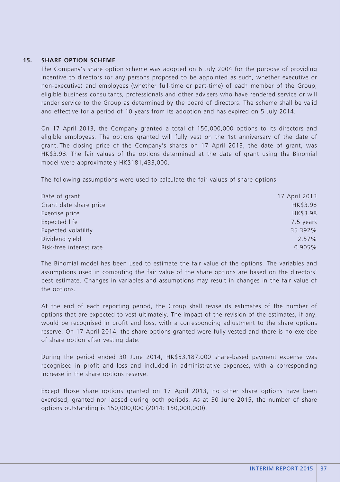#### **15. SHARE OPTION SCHEME**

The Company's share option scheme was adopted on 6 July 2004 for the purpose of providing incentive to directors (or any persons proposed to be appointed as such, whether executive or non-executive) and employees (whether full-time or part-time) of each member of the Group; eligible business consultants, professionals and other advisers who have rendered service or will render service to the Group as determined by the board of directors. The scheme shall be valid and effective for a period of 10 years from its adoption and has expired on 5 July 2014.

On 17 April 2013, the Company granted a total of 150,000,000 options to its directors and eligible employees. The options granted will fully vest on the 1st anniversary of the date of grant. The closing price of the Company's shares on 17 April 2013, the date of grant, was HK\$3.98. The fair values of the options determined at the date of grant using the Binomial model were approximately HK\$181,433,000.

The following assumptions were used to calculate the fair values of share options:

| Date of grant           | 17 April 2013 |
|-------------------------|---------------|
| Grant date share price  | HK\$3.98      |
| Exercise price          | HK\$3.98      |
| Expected life           | 7.5 years     |
| Expected volatility     | 35.392%       |
| Dividend yield          | 2.57%         |
| Risk-free interest rate | 0.905%        |

The Binomial model has been used to estimate the fair value of the options. The variables and assumptions used in computing the fair value of the share options are based on the directors' best estimate. Changes in variables and assumptions may result in changes in the fair value of the options.

At the end of each reporting period, the Group shall revise its estimates of the number of options that are expected to vest ultimately. The impact of the revision of the estimates, if any, would be recognised in profit and loss, with a corresponding adjustment to the share options reserve. On 17 April 2014, the share options granted were fully vested and there is no exercise of share option after vesting date.

During the period ended 30 June 2014, HK\$53,187,000 share-based payment expense was recognised in profit and loss and included in administrative expenses, with a corresponding increase in the share options reserve.

Except those share options granted on 17 April 2013, no other share options have been exercised, granted nor lapsed during both periods. As at 30 June 2015, the number of share options outstanding is 150,000,000 (2014: 150,000,000).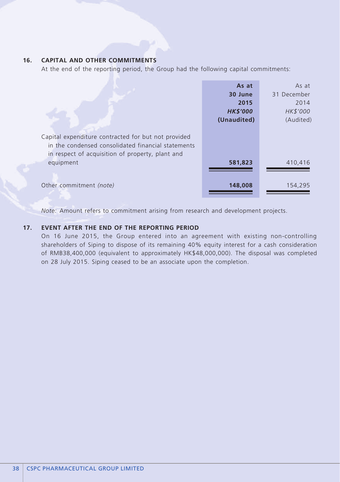### **16. CAPITAL AND OTHER COMMITMENTS**

At the end of the reporting period, the Group had the following capital commitments:

|                                                                                                                                                               | As at<br>30 June<br>2015<br><b>HK\$'000</b><br>(Unaudited) | As at<br>31 December<br>2014<br>HK\$'000<br>(Audited) |
|---------------------------------------------------------------------------------------------------------------------------------------------------------------|------------------------------------------------------------|-------------------------------------------------------|
| Capital expenditure contracted for but not provided<br>in the condensed consolidated financial statements<br>in respect of acquisition of property, plant and |                                                            |                                                       |
| equipment                                                                                                                                                     | 581,823                                                    | 410,416                                               |
| Other commitment (note)                                                                                                                                       | 148,008                                                    | 154,295                                               |

*Note:* Amount refers to commitment arising from research and development projects.

### **17. EVENT AFTER THE END OF THE REPORTING PERIOD**

On 16 June 2015, the Group entered into an agreement with existing non-controlling shareholders of Siping to dispose of its remaining 40% equity interest for a cash consideration of RMB38,400,000 (equivalent to approximately HK\$48,000,000). The disposal was completed on 28 July 2015. Siping ceased to be an associate upon the completion.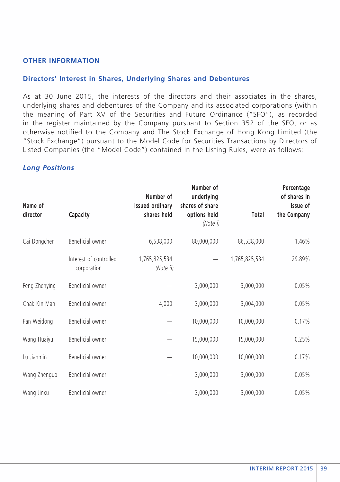### **Other Information**

#### **Directors' Interest in Shares, Underlying Shares and Debentures**

As at 30 June 2015, the interests of the directors and their associates in the shares, underlying shares and debentures of the Company and its associated corporations (within the meaning of Part XV of the Securities and Future Ordinance ("SFO"), as recorded in the register maintained by the Company pursuant to Section 352 of the SFO, or as otherwise notified to the Company and The Stock Exchange of Hong Kong Limited (the "Stock Exchange") pursuant to the Model Code for Securities Transactions by Directors of Listed Companies (the "Model Code") contained in the Listing Rules, were as follows:

### *Long Positions*

| Name of<br>director | Capacity                              | Number of<br>issued ordinary<br>shares held | Number of<br>underlying<br>shares of share<br>options held<br>(Note i) | Total         | Percentage<br>of shares in<br>issue of<br>the Company |
|---------------------|---------------------------------------|---------------------------------------------|------------------------------------------------------------------------|---------------|-------------------------------------------------------|
| Cai Dongchen        | Beneficial owner                      | 6,538,000                                   | 80,000,000                                                             | 86,538,000    | 1.46%                                                 |
|                     | Interest of controlled<br>corporation | 1,765,825,534<br>(Note ii)                  |                                                                        | 1,765,825,534 | 29.89%                                                |
| Feng Zhenying       | Beneficial owner                      |                                             | 3,000,000                                                              | 3,000,000     | 0.05%                                                 |
| Chak Kin Man        | Beneficial owner                      | 4,000                                       | 3,000,000                                                              | 3,004,000     | 0.05%                                                 |
| Pan Weidong         | Beneficial owner                      |                                             | 10,000,000                                                             | 10,000,000    | 0.17%                                                 |
| Wang Huaiyu         | Beneficial owner                      |                                             | 15,000,000                                                             | 15,000,000    | 0.25%                                                 |
| Lu Jianmin          | Beneficial owner                      |                                             | 10,000,000                                                             | 10,000,000    | 0.17%                                                 |
| Wang Zhenguo        | Beneficial owner                      |                                             | 3,000,000                                                              | 3,000,000     | 0.05%                                                 |
| Wang Jinxu          | Beneficial owner                      |                                             | 3,000,000                                                              | 3,000,000     | 0.05%                                                 |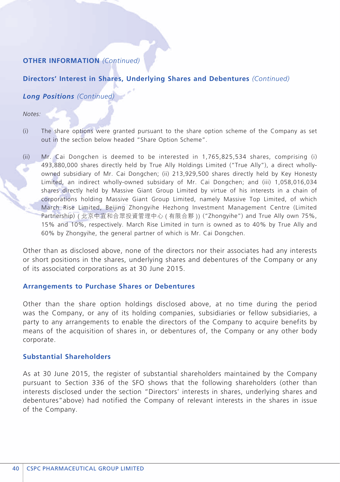# **Other Information** *(Continued)*

# **Directors' Interest in Shares, Underlying Shares and Debentures** *(Continued)*

# *Long Positions (Continued)*

*Notes:*

- (i) The share options were granted pursuant to the share option scheme of the Company as set out in the section below headed "Share Option Scheme".
- (ii) Mr. Cai Dongchen is deemed to be interested in 1,765,825,534 shares, comprising (i) 493,880,000 shares directly held by True Ally Holdings Limited ("True Ally"), a direct whollyowned subsidiary of Mr. Cai Dongchen; (ii) 213,929,500 shares directly held by Key Honesty Limited, an indirect wholly-owned subsidary of Mr. Cai Dongchen; and (iii) 1,058,016,034 shares directly held by Massive Giant Group Limited by virtue of his interests in a chain of corporations holding Massive Giant Group Limited, namely Massive Top Limited, of which March Rise Limited, Beijing Zhongyihe Hezhong Investment Management Centre (Limited Partnership) ( 北京中宜和合眾投資管理中心 ( 有限合夥 )) ("Zhongyihe") and True Ally own 75%, 15% and 10%, respectively. March Rise Limited in turn is owned as to 40% by True Ally and 60% by Zhongyihe, the general partner of which is Mr. Cai Dongchen.

Other than as disclosed above, none of the directors nor their associates had any interests or short positions in the shares, underlying shares and debentures of the Company or any of its associated corporations as at 30 June 2015.

### **Arrangements to Purchase Shares or Debentures**

Other than the share option holdings disclosed above, at no time during the period was the Company, or any of its holding companies, subsidiaries or fellow subsidiaries, a party to any arrangements to enable the directors of the Company to acquire benefits by means of the acquisition of shares in, or debentures of, the Company or any other body corporate.

### **Substantial Shareholders**

As at 30 June 2015, the register of substantial shareholders maintained by the Company pursuant to Section 336 of the SFO shows that the following shareholders (other than interests disclosed under the section "Directors' interests in shares, underlying shares and debentures"above) had notified the Company of relevant interests in the shares in issue of the Company.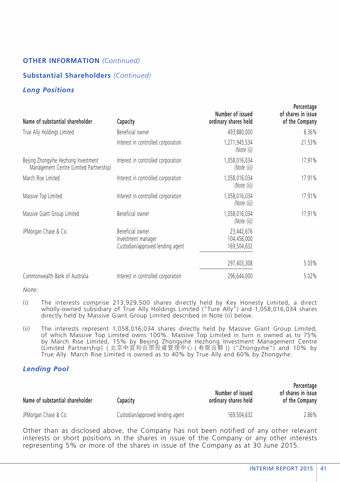# **Other Information** *(Continued)* **Substantial Shareholders** *(Continued) Long Positions*

| Name of substantial shareholder                                                 | Capacity                                                                   | Number of issued<br>ordinary shares held | rercentage<br>of shares in issue<br>of the Company |
|---------------------------------------------------------------------------------|----------------------------------------------------------------------------|------------------------------------------|----------------------------------------------------|
| True Ally Holdings Limited                                                      | Beneficial owner                                                           | 493,880,000                              | 8.36%                                              |
|                                                                                 | Interest in controlled corporation                                         | 1,271,945,534<br>(Note (i))              | 21.53%                                             |
| Beijing Zhongyihe Hezhong Investment<br>Management Centre (Limited Partnership) | Interest in controlled corporation                                         | 1,058,016,034<br>(Note (ii))             | 17.91%                                             |
| March Rise Limited                                                              | Interest in controlled corporation                                         | 1,058,016,034<br>(Note (ii))             | 17.91%                                             |
| Massive Top Limited                                                             | Interest in controlled corporation                                         | 1,058,016,034<br>(Note (ii))             | 17.91%                                             |
| Massive Giant Group Limited                                                     | Beneficial owner                                                           | 1,058,016,034<br>(Note (ii))             | 17.91%                                             |
| JPMorgan Chase & Co.                                                            | Beneficial owner<br>Investment manager<br>Custodian/approved lending agent | 23,442,676<br>104,456,000<br>169,504,632 |                                                    |
|                                                                                 |                                                                            | 297,403,308                              | 5.03%                                              |
| Commonwealth Bank of Australia                                                  | Interest in controlled corporation                                         | 296.644.000                              | 5.02%                                              |

*Note:*

- (i) The interests comprise 213,929,500 shares directly held by Key Honesty Limited, a direct wholly-owned subsidiary of True Ally Holdings Limited ("Ture Ally") and 1,058,016,034 shares directly held by Massive Giant Group Limited described in Note (ii) below.
- (ii) The interests represent 1,058,016,034 shares directly held by Massive Giant Group Limited, of which Massive Top Limited owns 100%. Massive Top Limited in turn is owned as to 75% by March Rise Limited, 15% by Beijing Zhongyihe Hezhong Investment Management Centre (Limited Partnership) ( 北京中宜和合眾投資管理中心 ( 有限合夥 )) ("Zhongyihe") and 10% by True Ally. March Rise Limited is owned as to 40% by True Ally and 60% by Zhongyihe.

### *Lending Pool*

| Name of substantial shareholder | Capacitv                         | Number of issued<br>ordinary shares held | Percentage<br>of shares in issue<br>of the Company |
|---------------------------------|----------------------------------|------------------------------------------|----------------------------------------------------|
| JPMorgan Chase & Co.            | Custodian/approved lending agent | 169.504.632                              | 2.86%                                              |

Other than as disclosed above, the Company has not been notified of any other relevant interests or short positions in the shares in issue of the Company or any other interests representing 5% or more of the shares in issue of the Company as at 30 June 2015.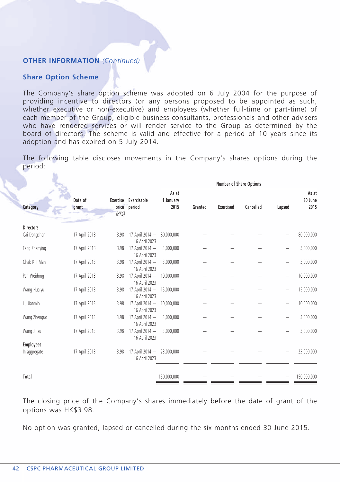### **Other Information** *(Continued)*

### **Share Option Scheme**

The Company's share option scheme was adopted on 6 July 2004 for the purpose of providing incentive to directors (or any persons proposed to be appointed as such, whether executive or non-executive) and employees (whether full-time or part-time) of each member of the Group, eligible business consultants, professionals and other advisers who have rendered services or will render service to the Group as determined by the board of directors. The scheme is valid and effective for a period of 10 years since its adoption and has expired on 5 July 2014.

The following table discloses movements in the Company's shares options during the period:

|                              |                                         |        |                                             | Number of Share Options |           |           |        |                          |             |
|------------------------------|-----------------------------------------|--------|---------------------------------------------|-------------------------|-----------|-----------|--------|--------------------------|-------------|
| Date of<br>Category<br>grant | Exercise Exercisable<br>price<br>(HK\$) | period | As at<br>1 January<br>2015                  | Granted                 | Exercised | Cancelled | Lapsed | As at<br>30 June<br>2015 |             |
| <b>Directors</b>             |                                         |        |                                             |                         |           |           |        |                          |             |
| Cai Dongchen                 | 17 April 2013                           | 3.98   | 17 April 2014 -<br>16 April 2023            | 80,000,000              |           |           |        |                          | 80,000,000  |
| Feng Zhenying                | 17 April 2013                           | 3.98   | 17 April 2014 -<br>16 April 2023            | 3,000,000               |           |           |        |                          | 3,000,000   |
| Chak Kin Man                 | 17 April 2013                           | 3.98   | 17 April 2014 -<br>16 April 2023            | 3,000,000               |           |           |        |                          | 3,000,000   |
| Pan Weidong                  | 17 April 2013                           | 3.98   | 17 April 2014 -<br>16 April 2023            | 10,000,000              |           |           |        |                          | 10,000,000  |
| Wang Huaiyu                  | 17 April 2013                           | 3.98   | 17 April 2014 -<br>16 April 2023            | 15,000,000              |           |           |        |                          | 15,000,000  |
| Lu Jianmin                   | 17 April 2013                           | 3.98   | 17 April 2014 -<br>16 April 2023            | 10,000,000              |           |           |        |                          | 10,000,000  |
| Wang Zhenguo                 | 17 April 2013                           | 3.98   | 17 April 2014 -<br>16 April 2023            | 3,000,000               |           |           |        |                          | 3,000,000   |
| Wang Jinxu                   | 17 April 2013                           | 3.98   | 17 April 2014 -<br>16 April 2023            | 3,000,000               |           |           |        |                          | 3,000,000   |
| <b>Employees</b>             |                                         |        |                                             |                         |           |           |        |                          |             |
| In aggregate                 | 17 April 2013                           | 3.98   | 17 April 2014 - 23,000,000<br>16 April 2023 |                         |           |           |        |                          | 23,000,000  |
| Total                        |                                         |        |                                             | 150,000,000             |           |           |        |                          | 150,000,000 |

The closing price of the Company's shares immediately before the date of grant of the options was HK\$3.98.

No option was granted, lapsed or cancelled during the six months ended 30 June 2015.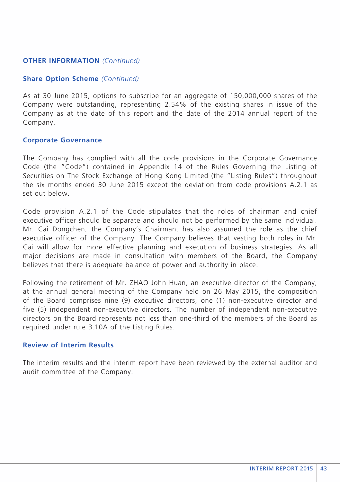### **Other Information** *(Continued)*

### **Share Option Scheme** *(Continued)*

As at 30 June 2015, options to subscribe for an aggregate of 150,000,000 shares of the Company were outstanding, representing 2.54% of the existing shares in issue of the Company as at the date of this report and the date of the 2014 annual report of the Company.

#### **Corporate Governance**

The Company has complied with all the code provisions in the Corporate Governance Code (the "Code") contained in Appendix 14 of the Rules Governing the Listing of Securities on The Stock Exchange of Hong Kong Limited (the "Listing Rules") throughout the six months ended 30 June 2015 except the deviation from code provisions A.2.1 as set out below.

Code provision A.2.1 of the Code stipulates that the roles of chairman and chief executive officer should be separate and should not be performed by the same individual. Mr. Cai Dongchen, the Company's Chairman, has also assumed the role as the chief executive officer of the Company. The Company believes that vesting both roles in Mr. Cai will allow for more effective planning and execution of business strategies. As all major decisions are made in consultation with members of the Board, the Company believes that there is adequate balance of power and authority in place.

Following the retirement of Mr. ZHAO John Huan, an executive director of the Company, at the annual general meeting of the Company held on 26 May 2015, the composition of the Board comprises nine (9) executive directors, one (1) non-executive director and five (5) independent non-executive directors. The number of independent non-executive directors on the Board represents not less than one-third of the members of the Board as required under rule 3.10A of the Listing Rules.

#### **Review of Interim Results**

The interim results and the interim report have been reviewed by the external auditor and audit committee of the Company.